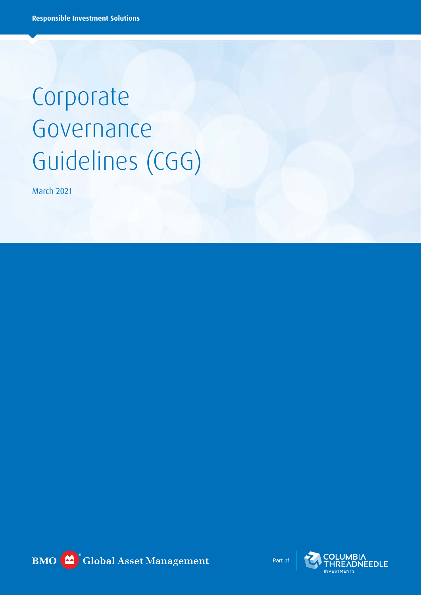# Corporate Governance Guidelines (CGG)

March 2021



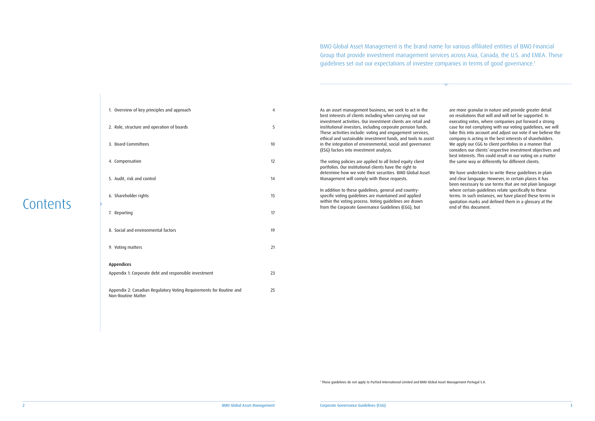| As an asset management business, we seek to act in the        |
|---------------------------------------------------------------|
| best interests of clients including when carrying out our     |
| investment activities. Our investment clients are retail and  |
| institutional investors, including corporate pension funds.   |
| These activities include: voting and engagement services,     |
| ethical and sustainable investment funds, and tools to assist |
| in the integration of environmental, social and governance    |
| (ESG) factors into investment analysis.                       |
|                                                               |
|                                                               |

The voting policies are applied to all listed equity client portfolios. Our institutional clients have the right to determine how we vote their securities. BMO Global Asset Management will comply with those requests.

In addition to these guidelines, general and countryspecific voting guidelines are maintained and applied within the voting process. Voting guidelines are drawn from the Corporate Governance Guidelines (CGG), but

- 2. Role, structure and operation of boards 5
- 3. Board Committees 10
- 4. Compensation 12
- 5. Audit, risk and control 14
- 6. Shareholder rights 15
- 7. Reporting 17
- 8. Social and environmental factors 19
- 9. Voting matters 21

are more granular in nature and provide greater detail on resolutions that will and will not be supported. In executing votes, where companies put forward a strong case for not complying with our voting guidelines, we will take this into account and adjust our vote if we believe the company is acting in the best interests of shareholders. We apply our CGG to client portfolios in a manner that considers our clients' respective investment objectives and best interests. This could result in our voting on a matter the same way or differently for different clients.

We have undertaken to write these guidelines in plain and clear language. However, in certain places it has been necessary to use terms that are not plain language where certain guidelines relate specifically to these terms. In such instances, we have placed these terms in quotation marks and defined them in a glossary at the end of this document.

BMO Global Asset Management is the brand name for various affiliated entities of BMO Financial Group that provide investment management services across Asia, Canada, the U.S. and EMEA. These guidelines set out our expectations of investee companies in terms of good governance.1

| 1. Overview of key principles and approach |  |
|--------------------------------------------|--|
|                                            |  |
|                                            |  |

## Appendices Appendix 1: Corporate debt and responsible investment 23

Appendix 2: Canadian Regulatory Voting Requirements for Routine and 25 Non-Routine Matter

## Contents

<sup>1</sup> These guidelines do not apply to Pyrford International Limited and BMO Global Asset Management Portugal S.A.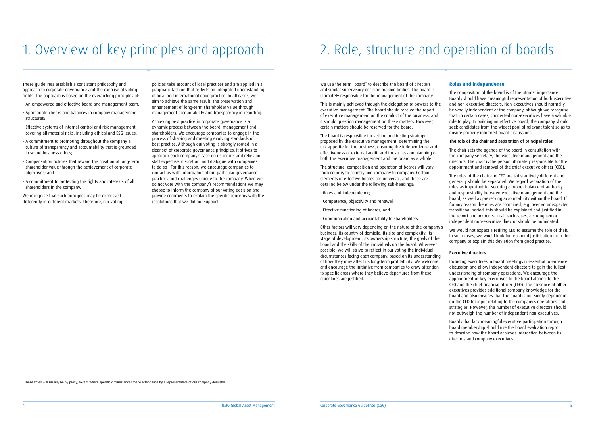We use the term "board" to describe the board of directors and similar supervisory decision making bodies. The board is

The board is responsible for setting and testing strategy proposed by the executive management, determining the risk appetite for the business, ensuring the independence and effectiveness of external audit, and for succession planning of both the executive management and the board as a whole.

The structure, composition and operation of boards will vary from country to country and company to company. Certain elements of effective boards are universal, and these are detailed below under the following sub-headings:

- Roles and independence;
- Competence, objectivity and renewal;
- Effective functioning of boards; and
- Communication and accountability to shareholders.

Other factors will vary depending on the nature of the company's business, its country of domicile, its size and complexity, its stage of development, its ownership structure, the goals of the board and the skills of the individuals on the board. Wherever possible, we will strive to reflect in our voting the individual circumstances facing each company, based on its understanding of how they may affect its long-term profitability. We welcome and encourage the initiative from companies to draw attention to specific areas where they believe departures from these guidelines are justified.

ultimately responsible for the management of the company. This is mainly achieved through the delegation of powers to the executive management. The board should receive the report of executive management on the conduct of the business, and it should question management on these matters. However, certain matters should be reserved for the board. The composition of the board is of the utmost importance. Boards should have meaningful representation of both executive and non-executive directors. Non-executives should normally be wholly independent of the company, although we recognise that, in certain cases, connected non-executives have a valuable role to play. In building an effective board, the company should seek candidates from the widest pool of relevant talent so as to ensure properly informed board discussions.

These guidelines establish a consistent philosophy and approach to corporate governance and the exercise of voting rights. The approach is based on the overarching principles of:

> We would not expect a retiring CEO to assume the role of chair. In such cases, we would look for reasoned justification from the company to explain this deviation from good practice.

- An empowered and effective board and management team;
- Appropriate checks and balances in company management structures;
- Effective systems of internal control and risk management covering all material risks, including ethical and ESG issues;
- A commitment to promoting throughout the company a culture of transparency and accountability that is grounded in sound business ethics;
- Compensation policies that reward the creation of long-term shareholder value through the achievement of corporate objectives; and
- A commitment to protecting the rights and interests of all shareholders in the company.

We recognise that such principles may be expressed differently in different markets. Therefore, our voting

#### **Roles and independence**

#### The role of the chair and separation of principal roles

The chair sets the agenda of the board in consultation with the company secretary, the executive management and the directors. The chair is the person ultimately responsible for the appointment and removal of the chief executive officer (CEO).

The roles of the chair and CEO are substantively different and generally should be separated. We regard separation of the roles as important for securing a proper balance of authority and responsibility between executive management and the board, as well as preserving accountability within the board. If for any reason the roles are combined, e.g. over an unexpected transitional period, this should be explained and justified in the report and accounts. In all such cases, a strong senior independent non-executive director should be nominated.

#### Executive directors

Including executives in board meetings is essential to enhance discussion and allow independent directors to gain the fullest understanding of company operations. We encourage the appointment of key executives to the board alongside the CEO and the chief financial officer (CFO). The presence of other executives provides additional company knowledge for the board and also ensures that the board is not solely dependent on the CEO for input relating to the company's operations and strategies. However, the number of executive directors should not outweigh the number of independent non-executives.

Boards that lack meaningful executive participation through board membership should use the board evaluation report to describe how the board achieves interaction between its directors and company executives.

policies take account of local practices and are applied in a pragmatic fashion that reflects an integrated understanding of local and international good practice. In all cases, we aim to achieve the same result: the preservation and enhancement of long-term shareholder value through management accountability and transparency in reporting.

Achieving best practice in corporate governance is a dynamic process between the board, management and shareholders. We encourage companies to engage in the process of shaping and meeting evolving standards of best practice. Although our voting is strongly rooted in a clear set of corporate governance principles, it strives to approach each company's case on its merits and relies on staff expertise, discretion, and dialogue with companies to do so . For this reason, we encourage companies to contact us with information about particular governance practices and challenges unique to the company. When we do not vote with the company's recommendations we may choose to inform the company of our voting decision and provide comments to explain the specific concerns with the resolutions that we did not support.

# 1. Overview of key principles and approach 2. Role, structure and operation of boards

2 These votes will usually be by proxy, except where specific circumstances make attendance by a representative of our company desirable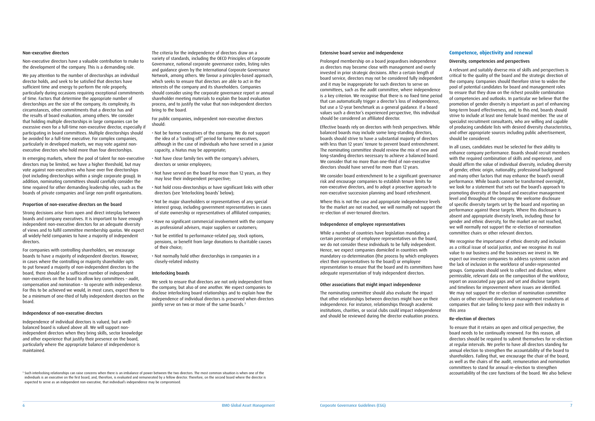#### Extensive board service and independence

Prolonged membership on a board jeopardises independence as directors may become close with management and overly invested in prior strategic decisions. After a certain length of board service, directors may not be considered fully independent and it may be inappropriate for such directors to serve on committees, such as the audit committee, where independence is a key criterion. We recognise that there is no fixed time period that can automatically trigger a director's loss of independence, but use a 12-year benchmark as a general guidance. If a board values such a director's experienced perspective, this individual should be considered an affiliated director.

We consider board entrenchment to be a significant governance risk and encourage companies to establish tenure limits for non-executive directors, and to adopt a proactive approach to non-executive succession planning and board refreshment.

Effective boards rely on directors with fresh perspectives. While balanced boards may include some long-standing directors, boards should strive to have a substantial majority of directors with less than 12 years' tenure to prevent board entrenchment. The nominating committee should review the mix of new and long-standing directors necessary to achieve a balanced board. We consider that no more than one-third of non-executive directors should have served for more than 12 years.

Where this is not the case and appropriate independence levels for the market are not reached, we will normally not support the re-election of over-tenured directors.

#### Independence of employee representatives

While a number of countries have legislation mandating a certain percentage of employee representatives on the board, we do not consider these individuals to be fully independent. Hence, we expect companies domiciled in countries with mandatory co-determination (the process by which employees elect their representatives to the board) or employee representation to ensure that the board and its committees have adequate representation of truly independent directors.

#### Other associations that might impact independence

The nominating committee should also evaluate the impact that other relationships between directors might have on their independence. For instance, relationships through academic institutions, charities, or social clubs could impact independence and should be reviewed during the director evaluation process.

#### Non-executive directors

Non-executive directors have a valuable contribution to make to the development of the company. This is a demanding role.

We pay attention to the number of directorships an individual director holds, and seek to be satisfied that directors have sufficient time and energy to perform the role properly, particularly during occasions requiring exceptional commitments of time. Factors that determine the appropriate number of directorships are the size of the company, its complexity, its circumstances, other commitments that a director has and the results of board evaluation, among others. We consider that holding multiple directorships in large companies can be excessive even for a full-time non-executive director, especially if participating in board committees. Multiple directorships should be avoided for a full-time executive. For complex companies, particularly in developed markets, we may vote against nonexecutive directors who hold more than four directorships.

In emerging markets, where the pool of talent for non-executive directors may be limited, we have a higher threshold, but may vote against non-executives who have over five directorships (not including directorships within a single corporate group). In addition, nominating committees should carefully consider the time required for other demanding leadership roles, such as the boards of private companies and large non-profit organisations.

#### Proportion of non-executive directors on the board

Strong decisions arise from open and direct interplay between boards and company executives. It is important to have enough independent non-executive directors for an adequate diversity of views and to fulfil committee membership quotas. We expect all widely-held companies to have a majority of independent directors.

For companies with controlling shareholders, we encourage boards to have a majority of independent directors. However, in cases where the controlling or majority shareholder opts to put forward a majority of non-independent directors to the board, there should be a sufficient number of independent non-executives on the board to allow key committees – audit, compensation and nomination – to operate with independence. For this to be achieved we would, in most cases, expect there to be a minimum of one-third of fully independent directors on the board.

#### Independence of non-executive directors

Independence of individual directors is valued, but a wellbalanced board is valued above all. We will support nonindependent directors when they bring skills, sector knowledge and other experience that justify their presence on the board, particularly where the appropriate balance of independence is maintained.

We seek to ensure that directors are not only independent from the company, but also of one another. We expect companies to disclose interlocking board relationships and to explain how the independence of individual directors is preserved when directors jointly serve on two or more of the same boards.<sup>3</sup>

#### **Competence, objectivity and renewal**

#### Diversity, competencies and perspectives

<sup>3</sup> Such interlocking relationships can raise concerns when there is an imbalance of power between the two directors. The most common situation is when one of the individuals is an executive on the first board, and, therefore, is evaluated and remunerated by a fellow director. Therefore, on the second board where the director is expected to serve as an independent non-executive, that individual's independence may be compromised.

A relevant and suitably diverse mix of skills and perspectives is critical to the quality of the board and the strategic direction of the company. Companies should therefore strive to widen the pool of potential candidates for board and management roles to ensure that they draw on the richest possible combination of competencies and outlooks. In particular we believe that the promotion of gender diversity is important as part of enhancing long-term board effectiveness, and, to this end, boards should strive to include at least one female board member. The use of specialist recruitment consultants, who are willing and capable of producing candidate lists with desired diversity characteristics, and other appropriate sources including public advertisement, should be considered.

In all cases, candidates must be selected for their ability to enhance company performance. Boards should recruit members with the required combination of skills and experience, and should affirm the value of individual diversity, including diversity of gender, ethnic origin, nationality, professional background and many other factors that may enhance the board's overall performance. While boards cannot be transformed overnight, we look for a statement that sets out the board's approach to promoting diversity at the board and executive management level and throughout the company. We welcome disclosure of specific diversity targets set by the board and reporting on performance against these targets. Where this disclosure is absent and appropriate diversity levels, including those for gender and ethnic diversity, for the market are not reached, we will normally not support the re-election of nomination committee chairs or other relevant directors.

We recognise the importance of ethnic diversity and inclusion as a critical issue of social justice, and we recognise its real value to our business and the businesses we invest in. We expect our investee companies to address systemic racism and the lack of inclusion in the workforce of under-represented groups. Companies should seek to collect and disclose, where permissible, relevant data on the composition of the workforce, report on associated pay gaps and set and disclose targets and timelines for improvement where issues are identified. We may not support the re-election of nomination committee chairs or other relevant directors or management resolutions at companies that are failing to keep pace with their industry in this area

#### Re-election of directors

To ensure that it retains an open and critical perspective, the board needs to be continually renewed. For this reason, all directors should be required to submit themselves for re-election at regular intervals. We prefer to have all directors standing for annual election to strengthen the accountability of the board to shareholders. Failing that, we encourage the chair of the board, as well as the chairs of the audit, remuneration and nomination committees to stand for annual re-election to strengthen accountability of the core functions of the board. We also believe

The criteria for the independence of directors draw on a variety of standards, including the OECD Principles of Corporate Governance, national corporate governance codes, listing rules and guidance given by the International Corporate Governance Network, among others. We favour a principles-based approach, which seeks to ensure that directors are able to act in the interests of the company and its shareholders. Companies should consider using the corporate governance report or annual shareholder meeting materials to explain the board evaluation process, and to justify the value that non-independent directors bring to the board.

For public companies, independent non-executive directors should:

- Not be former executives of the company. We do not support the idea of a "cooling off" period for former executives, although in the case of individuals who have served in a junior capacity, a hiatus may be appropriate;
- Not have close family ties with the company's advisers, directors or senior employees;
- Not have served on the board for more than 12 years, as they may lose their independent perspective;
- Not hold cross-directorships or have significant links with other directors (see 'Interlocking boards' below);
- Not be major shareholders or representatives of any special interest group, including government representatives in cases of state ownership or representatives of affiliated companies;
- Have no significant commercial involvement with the company as professional advisers, major suppliers or customers;
- Not be entitled to performance-related pay, stock options, pensions, or benefit from large donations to charitable causes of their choice;
- Not normally hold other directorships in companies in a closely-related industry.

#### Interlocking boards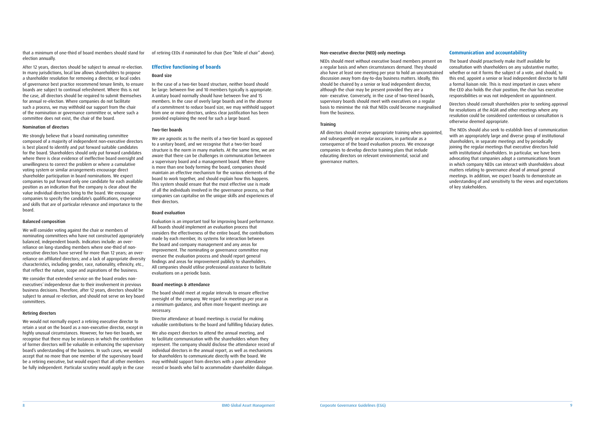#### Non-executive director (NED) only meetings

NEDs should meet without executive board members present on a regular basis and when circumstances demand. They should also have at least one meeting per year to hold an unconstrained discussion away from day-to-day business matters. Ideally, this should be chaired by a senior or lead independent director, although the chair may be present provided they are a non- executive. Conversely, in the case of two-tiered boards, supervisory boards should meet with executives on a regular basis to minimise the risk that NEDs could become marginalised from the business.

#### Training

All directors should receive appropriate training when appointed, and subsequently on regular occasions, in particular as a consequence of the board evaluation process. We encourage companies to develop director training plans that include educating directors on relevant environmental, social and governance matters.

that a minimum of one-third of board members should stand for election annually.

After 12 years, directors should be subject to annual re-election. In many jurisdictions, local law allows shareholders to propose a shareholder resolution for removing a director, or local codes of governance best practice recommend tenure limits, to ensure boards are subject to continual refreshment. Where this is not the case, all directors should be required to submit themselves for annual re-election. Where companies do not facilitate such a process, we may withhold our support from the chair of the nomination or governance committee or, where such a committee does not exist, the chair of the board.

#### Nomination of directors

We strongly believe that a board nominating committee composed of a majority of independent non-executive directors is best placed to identify and put forward suitable candidates for the board. Shareholders should only put forward candidates where there is clear evidence of ineffective board oversight and unwillingness to correct the problem or where a cumulative voting system or similar arrangements encourage direct shareholder participation in board nominations. We expect companies to put forward only one candidate for each available position as an indication that the company is clear about the value individual directors bring to the board. We encourage companies to specify the candidate's qualifications, experience and skills that are of particular relevance and importance to the board.

#### Balanced composition

We will consider voting against the chair or members of nominating committees who have not constructed appropriately balanced, independent boards. Indicators include: an overreliance on long-standing members where one-third of nonexecutive directors have served for more than 12 years; an overreliance on affiliated directors; and a lack of appropriate diversity characteristics, including gender, race, nationality, ethnicity, etc., that reflect the nature, scope and aspirations of the business.

We consider that extended service on the board erodes nonexecutives' independence due to their involvement in previous business decisions. Therefore, after 12 years, directors should be subject to annual re-election, and should not serve on key board committees.

#### Retiring directors

We would not normally expect a retiring executive director to retain a seat on the board as a non-executive director, except in highly unusual circumstances. However, for two-tier boards, we recognise that there may be instances in which the contribution of former directors will be valuable in enhancing the supervisory board's understanding of the business. In such cases, we would accept that no more than one member of the supervisory board be a retiring executive, but would expect that all other members be fully independent. Particular scrutiny would apply in the case

#### **Communication and accountability**

The board should proactively make itself available for consultation with shareholders on any substantive matter, whether or not it forms the subject of a vote, and should, to this end, appoint a senior or lead independent director to fulfil a formal liaison role. This is most important in cases where the CEO also holds the chair position, the chair has executive responsibilities or was not independent on appointment.

Directors should consult shareholders prior to seeking approval for resolutions at the AGM and other meetings where any resolution could be considered contentious or consultation is otherwise deemed appropriate.

The NEDs should also seek to establish lines of communication with an appropriately large and diverse group of institutional shareholders, in separate meetings and by periodically joining the regular meetings that executive directors hold with institutional shareholders. In particular, we have been advocating that companies adopt a communications forum in which company NEDs can interact with shareholders about matters relating to governance ahead of annual general meetings. In addition, we expect boards to demonstrate an understanding of and sensitivity to the views and expectations of key stakeholders.

of retiring CEOs if nominated for chair (See "Role of chair" above).

#### **Effective functioning of boards**

#### Board size

In the case of a two-tier board structure, neither board should be large: between five and 10 members typically is appropriate. A unitary board normally should have between five and 15 members. In the case of overly large boards and in the absence of a commitment to reduce board size, we may withhold support from one or more directors, unless clear justification has been provided explaining the need for such a large board.

#### Two-tier boards

We are agnostic as to the merits of a two-tier board as opposed to a unitary board, and we recognise that a two-tier board structure is the norm in many markets. At the same time, we are aware that there can be challenges in communication between a supervisory board and a management board. Where there is more than one body forming the board, companies should maintain an effective mechanism for the various elements of the board to work together, and should explain how this happens. This system should ensure that the most effective use is made of all the individuals involved in the governance process, so that companies can capitalise on the unique skills and experiences of their directors.

#### Board evaluation

Evaluation is an important tool for improving board performance. All boards should implement an evaluation process that considers the effectiveness of the entire board, the contributions made by each member, its systems for interaction between the board and company management and any areas for improvement. The nominating or governance committee may oversee the evaluation process and should report general findings and areas for improvement publicly to shareholders. All companies should utilise professional assistance to facilitate evaluations on a periodic basis.

#### Board meetings & attendance

The board should meet at regular intervals to ensure effective oversight of the company. We regard six meetings per year as a minimum guidance, and often more frequent meetings are necessary.

Director attendance at board meetings is crucial for making valuable contributions to the board and fulfilling fiduciary duties.

We also expect directors to attend the annual meeting, and to facilitate communication with the shareholders whom they represent. The company should disclose the attendance record of individual directors in the annual report, as well as mechanisms for shareholders to communicate directly with the board. We may withhold support from directors with a poor attendance record or boards who fail to accommodate shareholder dialogue.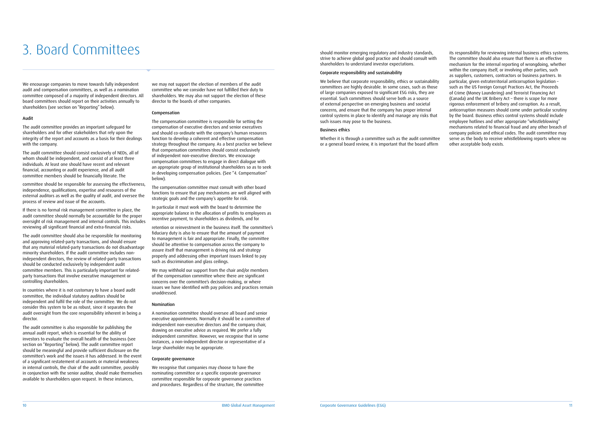should monitor emerging regulatory and industry standards, strive to achieve global good practice and should consult with shareholders to understand investor expectations.

#### Corporate responsibility and sustainability

We believe that corporate responsibility, ethics or sustainability committees are highly desirable. In some cases, such as those of large companies exposed to significant ESG risks, they are essential. Such committees should serve both as a source of external perspective on emerging business and societal concerns, and ensure that the company has proper internal control systems in place to identify and manage any risks that such issues may pose to the business.

#### Business ethics

Whether it is through a committee such as the audit committee or a general board review, it is important that the board affirm

We encourage companies to move towards fully independent audit and compensation committees, as well as a nomination committee composed of a majority of independent directors. All board committees should report on their activities annually to shareholders (see section on "Reporting" below).

#### Audit

The audit committee provides an important safeguard for shareholders and for other stakeholders that rely upon the integrity of the report and accounts as a basis for their dealings with the company.

The audit committee should consist exclusively of NEDs, all of whom should be independent, and consist of at least three individuals. At least one should have recent and relevant financial, accounting or audit experience, and all audit committee members should be financially literate. The

committee should be responsible for assessing the effectiveness, independence, qualifications, expertise and resources of the external auditors as well as the quality of audit, and oversee the process of review and issue of the accounts.

If there is no formal risk management committee in place, the audit committee should normally be accountable for the proper oversight of risk management and internal controls. This includes reviewing all significant financial and extra-financial risks.

The audit committee should also be responsible for monitoring and approving related-party transactions, and should ensure that any material related-party transactions do not disadvantage minority shareholders. If the audit committee includes nonindependent directors, the review of related-party transactions should be conducted exclusively by independent audit committee members. This is particularly important for relatedparty transactions that involve executive management or controlling shareholders.

In countries where it is not customary to have a board audit committee, the individual statutory auditors should be independent and fulfil the role of the committee. We do not consider this system to be as robust, since it separates the audit oversight from the core responsibility inherent in being a director.

The audit committee is also responsible for publishing the annual audit report, which is essential for the ability of investors to evaluate the overall health of the business (see section on "Reporting" below). The audit committee report should be meaningful and provide sufficient disclosure on the committee's work and the issues it has addressed. In the event of a significant restatement of accounts or material weakness in internal controls, the chair of the audit committee, possibly in conjunction with the senior auditor, should make themselves available to shareholders upon request. In these instances,

its responsibility for reviewing internal business ethics systems. The committee should also ensure that there is an effective mechanism for the internal reporting of wrongdoing, whether within the company itself, or involving other parties, such as suppliers, customers, contractors or business partners. In particular, given extraterritorial anticorruption legislation – such as the US Foreign Corrupt Practices Act, the Proceeds of Crime (Money Laundering) and Terrorist Financing Act (Canada) and the UK Bribery Act – there is scope for more rigorous enforcement of bribery and corruption. As a result, anticorruption measures should come under particular scrutiny by the board. Business ethics control systems should include employee hotlines and other appropriate "whistleblowing" mechanisms related to financial fraud and any other breach of company policies and ethical codes. The audit committee may serve as the body to receive whistleblowing reports where no other acceptable body exists.

we may not support the election of members of the audit committee who we consider have not fulfilled their duty to shareholders. We may also not support the election of these director to the boards of other companies.

#### Compensation

The compensation committee is responsible for setting the compensation of executive directors and senior executives and should co-ordinate with the company's human resources function to develop a coherent and effective compensation strategy throughout the company. As a best practice we believe that compensation committees should consist exclusively of independent non-executive directors. We encourage compensation committees to engage in direct dialogue with an appropriate group of institutional shareholders so as to seek in developing compensation policies. (See "4. Compensation" below).

The compensation committee must consult with other board functions to ensure that pay mechanisms are well aligned with strategic goals and the company's appetite for risk.

In particular it must work with the board to determine the appropriate balance in the allocation of profits to employees as incentive payment, to shareholders as dividends, and for

retention or reinvestment in the business itself. The committee's fiduciary duty is also to ensure that the amount of payment to management is fair and appropriate. Finally, the committee should be attentive to compensation across the company to assure itself that management is driving risk and strategy properly and addressing other important issues linked to pay such as discrimination and glass ceilings.

We may withhold our support from the chair and/or members of the compensation committee where there are significant concerns over the committee's decision-making, or where issues we have identified with pay policies and practices remain unaddressed.

#### Nomination

A nomination committee should oversee all board and senior executive appointments. Normally it should be a committee of independent non-executive directors and the company chair, drawing on executive advice as required. We prefer a fully independent committee. However, we recognise that in some instances, a non-independent director or representative of a large shareholder may be appropriate.

#### Corporate governance

We recognise that companies may choose to have the nominating committee or a specific corporate governance committee responsible for corporate governance practices and procedures. Regardless of the structure, the committee

# 3. Board Committees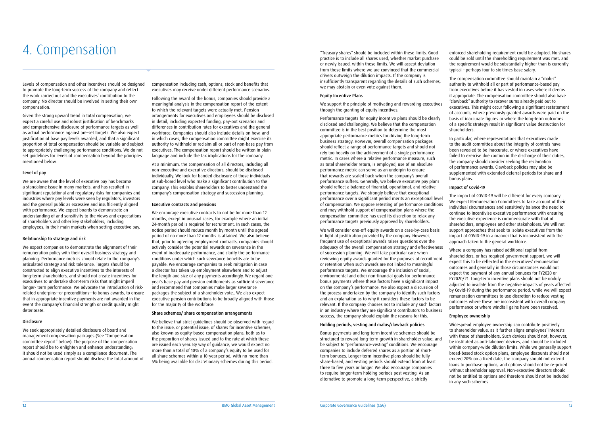# A. COMPENSATION THE SALL THE SALL THE SALL THE SALL THE SALL THE SALL THE SALL THE SALL THE SALL THE SALL GOOD

Levels of compensation and other incentives should be designed to promote the long-term success of the company and reflect the work carried out and the executives' contribution to the company. No director should be involved in setting their own compensation.

Given the strong upward trend in total compensation, we expect a careful use and robust justification of benchmarks and comprehensive disclosure of performance targets as well as actual performance against pre-set targets. We also expect justification of base pay levels awarded, and that a significant proportion of total compensation should be variable and subject to appropriately challenging performance conditions. We do not set guidelines for levels of compensation beyond the principles mentioned below.

#### Level of pay

We are aware that the level of executive pay has become a standalone issue in many markets, and has resulted in significant reputational and regulatory risks for companies and industries where pay levels were seen by regulators, investors and the general public as excessive and insufficiently aligned with performance. We expect boards to demonstrate an understanding of and sensitivity to the views and expectations of shareholders and other key stakeholders, including employees, in their main markets when setting executive pay.

#### Relationship to strategy and risk

We expect companies to demonstrate the alignment of their remuneration policy with their overall business strategy and planning. Performance metrics should relate to the company's articulated strategy and risk tolerance. Targets should be constructed to align executive incentives to the interests of long-term shareholders, and should not create incentives for executives to undertake short-term risks that might imperil longer- term performance. We advocate the introduction of riskrelated underpins—or preconditions—to bonus awards, to ensure that in appropriate incentive payments are not awarded in the event the company's financial strength or credit quality might deteriorate.

#### Disclosure

We seek appropriately detailed disclosure of board and management compensation packages (See "Compensation committee report" below). The purpose of the compensation report should be to enlighten and enhance understanding; it should not be used simply as a compliance document. The annual compensation report should disclose the total amount of compensation including cash, options, stock and benefits that executives may receive under different performance scenarios.

Following the award of the bonus, companies should provide a meaningful analysis in the compensation report of the extent to which the relevant targets were actually met. Pension arrangements for executives and employees should be disclosed in detail, including expected funding, pay-out scenarios and differences in contribution rates for executives and the general workforce. Companies should also include details on how, and in which cases, the compensation committee might exercise its authority to withhold or reclaim all or part of non-base pay from executives. The compensation report should be written in plain language and include the tax implications for the company.

At a minimum, the compensation of all directors, including all non-executive and executive directors, should be disclosed individually. We look for banded disclosure of those individuals at sub-board level who make a significant contribution to the company. This enables shareholders to better understand the company's compensation strategy and succession planning.

#### Executive contracts and pensions

We encourage executive contracts to not be for more than 12 months, except in unusual cases, for example where an initial 24-month period is required for recruitment. In such cases, the notice period should reduce month by month until the agreed period of no more than 12 months is attained. We also believe that, prior to agreeing employment contracts, companies should actively consider the potential rewards on severance in the event of inadequate performance, and clarify the performance conditions under which such severance benefits are to be payable. We encourage companies to seek mitigation in case a director has taken up employment elsewhere and to adjust the length and size of any payments accordingly. We regard one year's base pay and pension entitlements as sufficient severance and recommend that companies make larger severance packages the subject of a shareholder vote.. We also expect executive pension contributions to be broadly aligned with those for the majority of the workforce.

#### Share schemes/ share compensation arrangements

We believe that strict guidelines should be observed with regard to the issue, or potential issue, of shares for incentive schemes, also known as equity-based compensation plans, both as to the proportion of shares issued and to the rate at which these are issued each year. By way of guidance, we would expect no more than a total of 10% of a company's equity to be used for all share schemes within a 10-year period, with no more than 5% being available for discretionary schemes during this period.

We will consider one-off equity awards on a case-by-case basis in light of justification provided by the company. However, frequent use of exceptional awards raises questions over the adequacy of the overall compensation strategy and effectiveness of succession planning. We will take particular care when reviewing equity awards granted for the purposes of recruitment or retention when such awards are not linked to meaningful performance targets. We encourage the inclusion of social, environmental and other non-financial goals for performance bonus payments where these factors have a significant impact on the company's performance. We also expect a discussion of the process undertaken by the company to identify such factors and an explanation as to why it considers these factors to be relevant. If the company chooses not to include any such factors in an industry where they are significant contributors to business success, the company should explain the reasons for this. support approaches that seek to isolate executives from the impact of COVID-19 in a manner that is inconsistent with the approach taken to the general workforce. Where a company has raised additional capital from shareholders, or has required government support, we will expect this to be reflected in the executives' remuneration outcomes and generally in those circumstances would not expect the payment of any annual bonuses for FY2020 or FY2020/21. Long-term incentive plans should not be unduly adjusted to insulate from the negative impacts of years affected by Covid-19 during the performance period, while we will expect remuneration committees to use discretion to reduce vesting outcomes where these are inconsistent with overall company performance or where windfall gains have been received. Employee ownership

practice is to include all shares used, whether market purchase or newly issued, within these limits. We will accept deviation from these limits where we are convinced that the commercial drivers outweigh the dilution impacts. If the company is insufficiently transparent regarding the details of such schemes, we may abstain or even vote against them.

disclosed and challenging. We believe that the compensation committee is in the best position to determine the most appropriate performance metrics for driving the long-term business strategy. However, overall compensation packages should reflect a range of performance targets and should not rely too heavily on the achievement of a single performance metric. In cases where a relative performance measure, such as total shareholder return, is employed, use of an absolute performance metric can serve as an underpin to ensure that rewards are scaled back when the company's overall performance suffers. Generally, we believe executive pay plans should reflect a balance of financial, operational, and relative performance targets. We strongly believe that exceptional performance over a significant period merits an exceptional level of compensation. We oppose retesting of performance conditions and may withhold support of compensation plans where the compensation committee has used its discretion to relax any performance targets previously approved by shareholders.

Equity Incentive Plans We support the principle of motivating and rewarding executives through the granting of equity incentives. Performance targets for equity incentive plans should be clearly The compensation committee should maintain a "malus" authority to withhold all or part of performance-based pay from executives before it has vested in cases where it deems it appropriate. The compensation committee should also have "clawback" authority to recover sums already paid out to executives. This might occur following a significant restatement of accounts, where previously granted awards were paid on the basis of inaccurate figures or where the long-term outcomes of a specific strategy result in significant value destruction for shareholders.

#### Holding periods, vesting and malus/clawback policies

Bonus payments and long-term incentive schemes should be structured to reward long-term growth in shareholder value, and be subject to "performance-vesting" conditions. We encourage companies to include deferred shares as a portion of shortterm bonuses. Longer-term incentive plans should be fully share-based, and vesting periods should extend from at least three to five years or longer. We also encourage companies to require longer-term holding periods post vesting. As an alternative to promote a long-term perspective, a strictly

enforced shareholding requirement could be adopted. No shares could be sold until the shareholding requirement was met, and the requirement would be substantially higher than is currently typical – perhaps four to six times base salary.

In particular, where representations that executives made to the audit committee about the integrity of controls have been revealed to be inaccurate, or where executives have failed to exercise due caution in the discharge of their duties, the company should consider seeking the reclamation of performance awards. Clawback policies may also be supplemented with extended deferral periods for share and bonus plans.

#### Impact of Covid-19

The impact of COVID-19 will be different for every company. We expect Remuneration Committees to take account of their individual circumstances and sensitively balance the need to continue to incentivise executive performance with ensuring the executive experience is commensurate with that of shareholders, employees and other stakeholders. We will not

Widespread employee ownership can contribute positively to shareholder value, as it further aligns employees' interests with those of shareholders. Such devices should not, however, be instituted as anti-takeover devices, and should be included within company-wide dilution limits. While we generally support broad-based stock option plans, employee discounts should not exceed 20% on a fixed date, the company should not extend loans to purchase options, and options should not be re-priced without shareholder approval. Non-executive directors should not be entitled to options and therefore should not be included in any such schemes.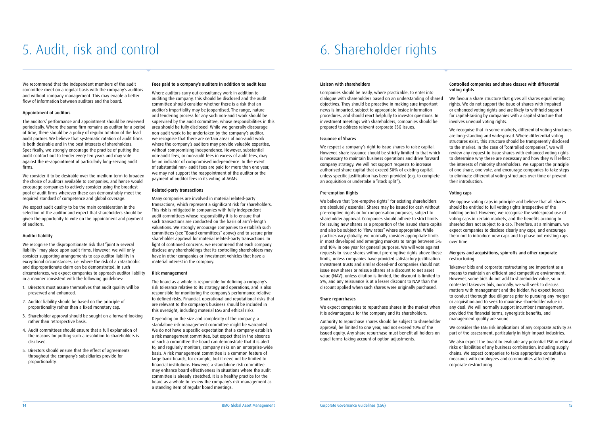# 5. Audit, risk and control 6. Shareholder rights

We recommend that the independent members of the audit committee meet on a regular basis with the company's auditors and without company management. This may enable a better flow of information between auditors and the board.

#### Appointment of auditors

We consider it to be desirable over the medium term to broaden the choice of auditors available to companies, and hence would encourage companies to actively consider using the broadest pool of audit firms wherever these can demonstrably meet the required standard of competence and global coverage.

The auditors' performance and appointment should be reviewed periodically. Where the same firm remains as auditor for a period of time, there should be a policy of regular rotation of the lead audit partner. We believe that systematic rotation of audit firms is both desirable and in the best interests of shareholders. Specifically, we strongly encourage the practice of putting the audit contract out to tender every ten years and may vote against the re-appointment of particularly long-serving audit firms.

We expect audit quality to be the main consideration in the selection of the auditor and expect that shareholders should be given the opportunity to vote on the appointment and payment of auditors.

#### Auditor liability

We recognise the disproportionate risk that "joint & several liability" may place upon audit firms. However, we will only consider supporting arrangements to cap auditor liability in exceptional circumstances, i.e. where the risk of a catastrophic and disproportionate claim can be demonstrated. In such circumstances, we expect companies to approach auditor liability in a manner consistent with the following guidelines:

- 1. Directors must assure themselves that audit quality will be preserved and enhanced.
- 2. Auditor liability should be based on the principle of proportionality rather than a fixed monetary cap.
- 3. Shareholder approval should be sought on a forward-looking rather than retrospective basis.
- 4. Audit committees should ensure that a full explanation of the reasons for putting such a resolution to shareholders is disclosed.
- 5. Directors should ensure that the effect of agreements throughout the company's subsidiaries provide for proportionality.

#### Fees paid to a company's auditors in addition to audit fees

Where auditors carry out consultancy work in addition to auditing the company, this should be disclosed and the audit committee should consider whether there is a risk that an auditor's impartiality may be jeopardised. The range, nature and tendering process for any such non-audit work should be supervised by the audit committee, whose responsibilities in this area should be fully disclosed. While we generally discourage non-audit work to be undertaken by the company's auditor, we recognise that there are certain areas of non-audit work where the company's auditors may provide valuable expertise, without compromising independence. However, substantial non-audit fees, or non-audit fees in excess of audit fees, may be an indicator of compromised independence. In the event of substantial non- audit fees are paid for more than one year, we may not support the reappointment of the auditor or the payment of auditor fees in its voting at AGMs.

#### Related-party transactions

We believe that "pre-emptive rights" for existing shareholders are absolutely essential. Shares may be issued for cash without pre-emptive rights or for compensation purposes, subject to shareholder approval. Companies should adhere to strict limits for issuing new shares as a proportion of the issued share capital and also be subject to "flow rates" where appropriate. While practices vary globally, we normally consider appropriate limits in most developed and emerging markets to range between 5% and 10% in one year for general purposes. We will vote against requests to issue shares without pre-emptive rights above these limits, unless companies have provided satisfactory justification. Investment trusts and similar closed-end companies should not issue new shares or reissue shares at a discount to net asset value (NAV), unless dilution is limited, the discount is limited to 5%, and any reissuance is at a lesser discount to NAV than the discount applied when such shares were originally purchased.

We expect companies to repurchase shares in the market when it is advantageous for the company and its shareholders.

Many companies are involved in material related-party transactions, which represent a significant risk for shareholders. This risk is mitigated in companies with fully independent audit committees whose responsibility it is to ensure that such transactions are conducted on the basis of arm's-length valuations. We strongly encourage companies to establish such committees (see "Board committees" above) and to secure prior shareholder approval for material related-party transactions. In light of continued concerns, we recommend that each company disclose any shareholdings that its controlling shareholders may have in other companies or investment vehicles that have a material interest in the company.

We favour a share structure that gives all shares equal voting rights. We do not support the issue of shares with impaired or enhanced voting rights and are likely to withhold support for capital-raising by companies with a capital structure that involves unequal voting rights.

#### Risk management

The board as a whole is responsible for defining a company's risk tolerance relative to its strategy and operations, and is also responsible for monitoring the company's performance relative to defined risks. Financial, operational and reputational risks that are relevant to the company's business should be included in this oversight, including material ESG and ethical risks.

Depending on the size and complexity of the company, a standalone risk management committee might be warranted. We do not have a specific expectation that a company establish a risk management committee, but expect that in the absence of such a committee the board can demonstrate that it is alert to, and regularly monitors, company risks on an enterprise-wide basis. A risk management committee is a common feature of large bank boards, for example, but it need not be limited to financial institutions. However, a standalone risk committee may enhance board effectiveness in situations where the audit committee is already stretched. It is a healthy practice for the board as a whole to review the company's risk management as a standing item of regular board meetings.

#### Liaison with shareholders

Companies should be ready, where practicable, to enter into dialogue with shareholders based on an understanding of shared objectives. They should be proactive in making sure important news is imparted, subject to appropriate inside information procedures, and should react helpfully to investor questions. In investment meetings with shareholders, companies should be prepared to address relevant corporate ESG issues.

#### Issuance of Shares

We respect a company's right to issue shares to raise capital. However, share issuance should be strictly limited to that which is necessary to maintain business operations and drive forward company strategy. We will not support requests to increase authorised share capital that exceed 50% of existing capital, unless specific justification has been provided (e.g. to complete an acquisition or undertake a "stock split").

#### Pre-emption Rights

#### Share repurchases

Authority to repurchase shares should be subject to shareholder approval, be limited to one year, and not exceed 10% of the issued equity. Any share repurchase must benefit all holders on equal terms taking account of option adjustments.

#### Controlled companies and share classes with differential voting rights

We recognise that in some markets, differential voting structures are long-standing and widespread. Where differential voting structures exist, this structure should be transparently disclosed to the market. In the case of "controlled companies", we will review any request to issue shares with enhanced voting rights to determine why these are necessary and how they will reflect the interests of minority shareholders. We support the principle of one share, one vote, and encourage companies to take steps to eliminate differential voting structures over time or prevent their introduction.

#### Voting caps

We oppose voting caps in principle and believe that all shares should be entitled to full voting rights irrespective of the holding period. However, we recognise the widespread use of voting caps in certain markets, and the benefits accruing to shareholders not subject to a cap. Therefore, at a minimum, we expect companies to disclose clearly any caps, and encourage them not to introduce new caps and to phase out existing caps over time.

#### Mergers and acquisitions, spin-offs and other corporate restructuring

Takeover bids and corporate restructuring are important as a means to maintain an efficient and competitive environment. However, some bids do not add to shareholder value, so in contested takeover bids, normally, we will seek to discuss matters with management and the bidder. We expect boards to conduct thorough due diligence prior to pursuing any merger or acquisition and to seek to maximise shareholder value in any deal. We will normally support incumbent management, provided the financial terms, synergistic benefits, and management quality are sound.

We consider the ESG risk implications of any corporate activity as part of the assessment, particularly in high-impact industries.

We also expect the board to evaluate any potential ESG or ethical risks or liabilities of any business combination, including supply chains. We expect companies to take appropriate consultative measures with employees and communities affected by corporate restructuring.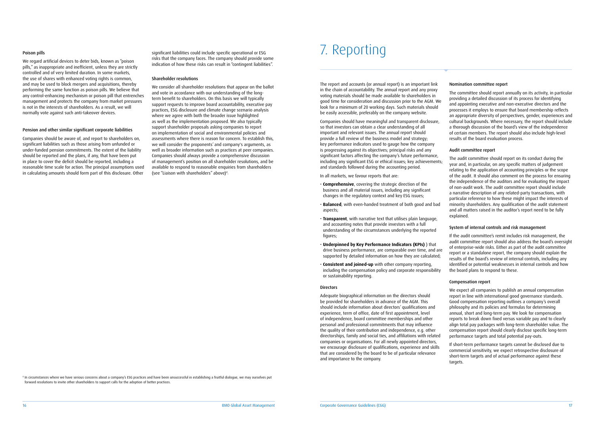The report and accounts (or annual report) is an important link in the chain of accountability. The annual report and any proxy voting materials should be made available to shareholders in good time for consideration and discussion prior to the AGM. We look for a minimum of 20 working days. Such materials should be easily accessible, preferably on the company website.

Companies should have meaningful and transparent disclosure, so that investors can obtain a clear understanding of all important and relevant issues. The annual report should provide a full review of the business model and strategy; key performance indicators used to gauge how the company is progressing against its objectives; principal risks and any significant factors affecting the company's future performance, including any significant ESG or ethical issues; key achievements; and standards followed during the accounting period.

In all markets, we favour reports that are:

- **Comprehensive**, covering the strategic direction of the business and all material issues, including any significant changes in the regulatory context and key ESG issues;
- **Balanced**, with even-handed treatment of both good and bad aspects;
- **Transparent**, with narrative text that utilises plain language, and accounting notes that provide investors with a full understanding of the circumstances underlying the reported figures;
- **Underpinned by Key Performance Indicators (KPIs)** ) that drive business performance, are comparable over time, and are supported by detailed information on how they are calculated;
- **Consistent and joined-up** with other company reporting, including the compensation policy and corporate responsibility or sustainability reporting.

#### Directors

Adequate biographical information on the directors should be provided for shareholders in advance of the AGM. This should include information about directors' qualifications and experience, term of office, date of first appointment, level of independence, board committee memberships and other personal and professional commitments that may influence the quality of their contribution and independence, e.g. other directorships, family and social ties, and affiliations with related companies or organisations. For all newly appointed directors, we encourage disclosure of qualifications, experience and skills that are considered by the board to be of particular relevance and importance to the company.

#### Poison pills

We regard artificial devices to deter bids, known as "poison pills," as inappropriate and inefficient, unless they are strictly controlled and of very limited duration. In some markets, the use of shares with enhanced voting rights is common, and may be used to block mergers and acquisitions, thereby performing the same function as poison pills. We believe that any control-enhancing mechanism or poison pill that entrenches management and protects the company from market pressures is not in the interests of shareholders. As a result, we will normally vote against such anti-takeover devices.

#### Pension and other similar significant corporate liabilities

Companies should be aware of, and report to shareholders on, significant liabilities such as those arising from unfunded or under-funded pension commitments. The extent of the liability should be reported and the plans, if any, that have been put in place to cover the deficit should be reported, including a reasonable time scale for action. The principal assumptions used in calculating amounts should form part of this disclosure. Other

#### Nomination committee report

<sup>4</sup> In circumstances where we have serious concerns about a company's ESG practices and have been unsuccessful in establishing a fruitful dialogue, we may ourselves put forward resolutions to invite other shareholders to support calls for the adoption of better practices.

The committee should report annually on its activity, in particular providing a detailed discussion of its process for identifying and appointing executive and non-executive directors and the processes it employs to ensure that board membership reflects an appropriate diversity of perspectives, gender, experiences and cultural backgrounds. Where necessary, the report should include a thorough discussion of the board's view of the independence of certain members. The report should also include high-level results of the board evaluation process.

#### Audit committee report

The audit committee should report on its conduct during the year and, in particular, on any specific matters of judgement relating to the application of accounting principles or the scope of the audit. It should also comment on the process for ensuring the independence of the auditors and for evaluating the impact of non-audit work. The audit committee report should include a narrative description of any related-party transactions, with particular reference to how these might impact the interests of minority shareholders. Any qualification of the audit statement and all matters raised in the auditor's report need to be fully explained.

#### System of internal controls and risk management

If the audit committee's remit includes risk management, the audit committee report should also address the board's oversight of enterprise-wide risks. Either as part of the audit committee report or a standalone report, the company should explain the results of the board's review of internal controls, including any identified or potential weaknesses in internal controls and how the board plans to respond to these.

#### Compensation report

We expect all companies to publish an annual compensation report in line with international good governance standards. Good compensation reporting outlines a company's overall philosophy and its policies and formulas for determining annual, short and long-term pay. We look for compensation reports to break down fixed versus variable pay and to clearly align total pay packages with long-term shareholder value. The compensation report should clearly disclose specific long-term performance targets and total potential pay-outs.

If short-term performance targets cannot be disclosed due to commercial sensitivity, we expect retrospective disclosure of short-term targets and of actual performance against these targets.

significant liabilities could include specific operational or ESG risks that the company faces. The company should provide some indication of how these risks can result in "contingent liabilities".

#### Shareholder resolutions

We consider all shareholder resolutions that appear on the ballot and vote in accordance with our understanding of the longterm benefit to shareholders. On this basis we will typically support requests to improve board accountability, executive pay practices, ESG disclosure and climate change scenario analysis where we agree with both the broader issue highlighted as well as the implementation proposed. We also typically support shareholder proposals asking companies to report on implementation of social and environmental policies and assessments where there is reason for concern. To establish this, we will consider the proponents' and company's arguments, as well as broader information such as practices at peer companies. Companies should always provide a comprehensive discussion of management's position on all shareholder resolutions, and be available to respond to reasonable enquiries from shareholders (see "Liaison with shareholders" above)4 .

## 7. Reporting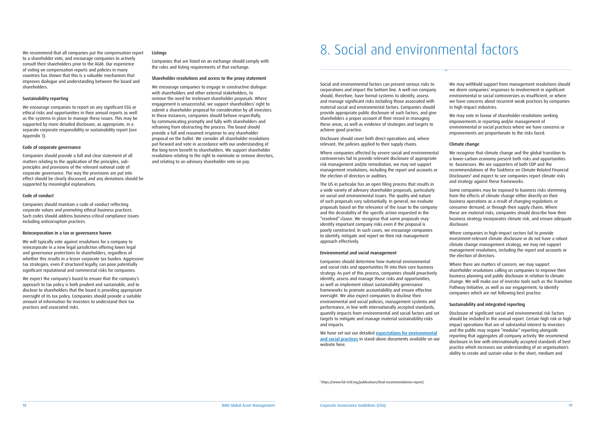Social and environmental factors can present serious risks to corporations and impact the bottom line. A well-run company should, therefore, have formal systems to identify, assess and manage significant risks including those associated with material social and environmental factors. Companies should provide appropriate public disclosure of such factors, and give shareholders a proper account of their record in managing these areas, as well as evidence of strategies and targets to achieve good practice.

Disclosure should cover both direct operations and, where relevant, the policies applied to their supply chains.

Where companies affected by severe social and environmental controversies fail to provide relevant disclosure of appropriate risk management and/or remediation, we may not support management resolutions, including the report and accounts or the election of directors or auditors.

We have set out our detailed [expectations for environmental](https://www.bmogam.com/gb-en/institutional/institutional-capabilities/responsible-investing/) [and social practices](https://www.bmogam.com/gb-en/institutional/institutional-capabilities/responsible-investing/) in stand-alone documents available on our website here.

The US in particular has an open filing process that results in a wide variety of advisory shareholder proposals, particularly on social and environmental issues. The quality and nature of such proposals vary substantially. In general, we evaluate proposals based on the relevance of the issue to the company and the desirability of the specific action requested in the "resolved" clause. We recognise that some proposals may identify important company risks even if the proposal is poorly constructed. In such cases, we encourage companies to identify, mitigate and report on their risk management approach effectively.

Companies should provide a full and clear statement of all matters relating to the application of the principles, subprinciples and provisions of the relevant national code of corporate governance. The way the provisions are put into effect should be clearly discussed, and any deviations should be supported by meaningful explanations.

### Environmental and social management

Companies should determine how material environmental and social risks and opportunities fit into their core business strategy. As part of this process, companies should proactively identify, assess and manage those risks and opportunities, as well as implement robust sustainability governance frameworks to promote accountability and ensure effective oversight. We also expect companies to disclose their environmental and social policies, management systems and performance, in line with internationally accepted standards; quantify impacts from environmental and social factors and set targets to mitigate and manage material sustainability risks and impacts.

We recommend that all companies put the compensation report to a shareholder vote, and encourage companies to actively consult their shareholders prior to the AGM. Our experience of voting on compensation reports and policies in many countries has shown that this is a valuable mechanism that improves dialogue and understanding between the board and

shareholders.

Sustainability reporting

We encourage companies to report on any significant ESG or ethical risks and opportunities in their annual reports as well as the systems in place to manage these issues. This may be supported by more detailed disclosure, as appropriate, in a separate corporate responsibility or sustainability report (see

Appendix 1).

### Code of corporate governance

### Code of conduct

Companies should maintain a code of conduct reflecting corporate values and promoting ethical business practices. Such codes should address business-critical compliance issues including anticorruption practices.

### Reincorporation in a tax or governance haven

We will typically vote against resolutions for a company to reincorporate in a new legal jurisdiction offering lower legal and governance protections to shareholders, regardless of whether this results in a lesser corporate tax burden. Aggressive tax strategies, even if structured legally, can pose potentially significant reputational and commercial risks for companies.

We expect the company's board to ensure that the company's approach to tax policy is both prudent and sustainable, and to disclose to shareholders that the board is providing appropriate oversight of its tax policy. Companies should provide a suitable amount of information for investors to understand their tax practices and associated risks.

We may withhold support from management resolutions should we deem companies' responses to involvement in significant environmental or social controversies as insufficient, or where we have concerns about recurrent weak practices by companies in high-impact industries.

We may vote in favour of shareholder resolutions seeking improvements in reporting and/or management of environmental or social practices where we have concerns or improvements are proportionate to the risks faced.

#### Climate change

We recognise that climate change and the global transition to a lower-carbon economy present both risks and opportunities to -businesses. We are supporters of both CDP and the recommendations of the Taskforce on Climate Related Financial Disclosures<sup>5</sup> and expect to see companies report climate risks and strategy against these frameworks.

Some companies may be exposed to business risks stemming from the effects of climate change either directly on their business operations as a result of changing regulations or consumer demand, or through their supply chains. Where these are material risks, companies should describe how their business strategy incorporates climate risk, and ensure adequate disclosure.

Where companies in high-impact sectors fail to provide investment-relevant climate disclosure or do not have a robust climate change management strategy, we may not support management resolutions, including the report and accounts or the election of directors.

Where there are matters of concern, we may support shareholder resolutions calling on companies to improve their business planning and public disclosure in relation to climate change. We will make use of investor tools such as the Transition Pathway Initiative, as well as our engagement, to identify companies which are not following best practice.

#### Sustainability and integrated reporting

Disclosure of significant social and environmental risk factors should be included in the annual report. Certain high risk or high impact operations that are of substantial interest to investors and the public may require "modular" reporting alongside reporting that aggregates all company activity. We recommend disclosure in line with internationally accepted standards of best practice which increases our understanding of an organisation's ability to create and sustain value in the short, medium and

#### Listings

Companies that are listed on an exchange should comply with the rules and listing requirements of that exchange.

#### Shareholder resolutions and access to the proxy statement

We encourage companies to engage in constructive dialogue with shareholders and other external stakeholders, to remove the need for irrelevant shareholder proposals. Where engagement is unsuccessful, we support shareholders' right to submit a shareholder proposal for consideration by all investors. In these instances, companies should behave respectfully, by communicating promptly and fully with shareholders and refraining from obstructing the process. The board should provide a full and reasoned response to any shareholder proposal on the ballot. We consider all shareholder resolutions put forward and vote in accordance with our understanding of the long-term benefit to shareholders. We support shareholder resolutions relating to the right to nominate or remove directors, and relating to an advisory shareholder vote on pay.

# 8. Social and environmental factors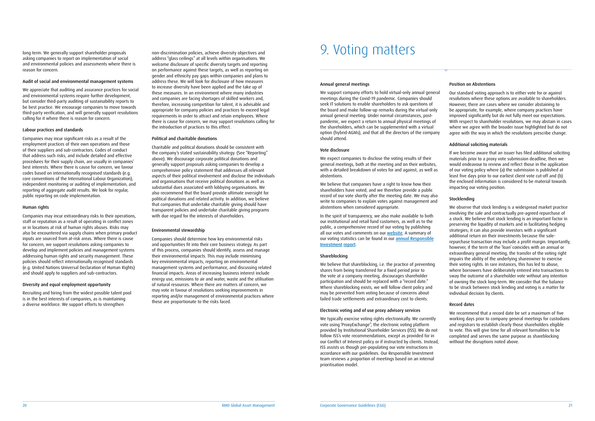#### Annual general meetings

We support company efforts to hold virtual-only annual general meetings during the Covid-19 pandemic. Companies should seek IT solutions to enable shareholders to ask questions of the board and make follow-up remarks during the virtual-only annual general meeting. Under normal circumstances, postpandemic, we expect a return to annual physical meetings of the shareholders, which can be supplemented with a virtual option (hybrid-AGMs), and that all the directors of the company should attend.

We believe that companies have a right to know how their shareholders have voted, and we therefore provide a public record of our vote shortly after the meeting date. We may also write to companies to explain votes against management and abstentions when considered appropriate.

#### Vote disclosure

We expect companies to disclose the voting results of their general meetings, both at the meeting and on their websites, with a detailed breakdown of votes for and against, as well as abstentions.

We believe that shareblocking, i.e. the practice of preventing shares from being transferred for a fixed period prior to the vote at a company meeting, discourages shareholder participation and should be replaced with a "record date." Where shareblocking exists, we will follow client policy and may be prevented from voting because of concerns about failed trade settlements and extraordinary cost to clients.

In the spirit of transparency, we also make available to both our institutional and retail fund customers, as well as to the public, a comprehensive record of our voting by publishing all our votes and comments on our [website](http://vds.issproxy.com/SearchPage.php?CustomerID=3660). A summary of our voting statistics can be found in our [annual Responsible](https://www.bmogam.com/wp-content/uploads/2020/04/ri-2019-review-.pdf) [Investment](https://www.bmogam.com/wp-content/uploads/2020/04/ri-2019-review-.pdf) report.

#### Shareblocking

#### Electronic voting and of use proxy advisory services

We typically exercise voting rights electronically. We currently vote using 'ProxyExchange", the electronic voting platform provided by Institutional Shareholder Services (ISS). We do not follow ISS's vote recommendations, except as provided for in our Conflict of Interest policy or if instructed by clients. Instead, ISS assists us though pre-populating our vote instructions in accordance with our guidelines. Our Responsible Investment team reviews a proportion of meetings based on an internal prioritisation model.

long term. We generally support shareholder proposals asking companies to report on implementation of social and environmental policies and assessments where there is reason for concern.

#### Audit of social and environmental management systems

We appreciate that auditing and assurance practices for social and environmental systems require further development, but consider third-party auditing of sustainability reports to be best practice. We encourage companies to move towards third-party verification, and will generally support resolutions calling for it where there is reason for concern.

#### Labour practices and standards

Companies may incur significant risks as a result of the employment practices of their own operations and those of their suppliers and sub-contractors. Codes of conduct that address such risks, and include detailed and effective procedures for their supply chain, are usually in companies' best interests. Where there is cause for concern, we favour codes based on internationally recognised standards (e.g. core conventions of the International Labour Organization), independent monitoring or auditing of implementation, and reporting of aggregate audit results. We look for regular, public reporting on code implementation.

#### Human rights

Companies may incur extraordinary risks to their operations, staff or reputation as a result of operating in conflict zones or in locations at risk of human rights abuses. Risks may also be encountered via supply chains when primary product inputs are sourced from at-risk areas. Where there is cause for concern, we support resolutions asking companies to develop and implement policies and management systems addressing human rights and security management. These policies should reflect internationally recognised standards (e.g. United Nations Universal Declaration of Human Rights) and should apply to suppliers and sub-contractors.

#### Diversity and equal employment opportunity

Recruiting and hiring from the widest possible talent pool is in the best interests of companies, as is maintaining a diverse workforce. We support efforts to strengthen

#### Position on Abstentions

Our standard voting approach is to either vote for or against resolutions where these options are available to shareholders. However, there are cases where we consider abstaining to be appropriate, for example, where company practices have improved significantly but do not fully meet our expectations. With respect to shareholder resolutions, we may abstain in cases where we agree with the broader issue highlighted but do not agree with the way in which the resolutions prescribe change.

#### Additional soliciting materials

If we become aware that an issuer has filed additional soliciting materials prior to a proxy vote submission deadline, then we would endeavour to review and reflect those in the application of our voting policy where (a) the submission is published at least five days prior to our earliest client vote cut-off and (b) the enclosed information is considered to be material towards impacting our voting position.

#### Stocklending

We observe that stock lending is a widespread market practice involving the sale and contractually pre-agreed repurchase of a stock. We believe that stock lending is an important factor in preserving the liquidity of markets and in facilitating hedging strategies; it can also provide investors with a significant additional return on their investments because the salerepurchase transaction may include a profit margin. Importantly, however, if the term of the 'loan' coincides with an annual or extraordinary general meeting, the transfer of the voting right impairs the ability of the underlying shareowner to exercise their voting rights. In rare instances, this has led to abuse, where borrowers have deliberately entered into transactions to sway the outcome of a shareholder vote without any intention of owning the stock long-term. We consider that the balance to be struck between stock lending and voting is a matter for individual decision by clients.

#### Record dates

We recommend that a record date be set a maximum of five working days prior to company general meetings for custodians and registrars to establish clearly those shareholders eligible to vote. This will give time for all relevant formalities to be completed and serves the same purpose as shareblocking without the disruptions noted above.

non-discrimination policies, achieve diversity objectives and address "glass ceilings" at all levels within organisations. We welcome disclosure of specific diversity targets and reporting on performance against these targets, as well as reporting on gender and ethnicity pay gaps within companies and plans to address these. We will look for disclosure of how measures to increase diversity have been applied and the take up of these measures. In an environment where many industries and companies are facing shortages of skilled workers and, therefore, increasing competition for talent, it is advisable and appropriate for company policies and practices to exceed legal requirements in order to attract and retain employees. Where there is cause for concern, we may support resolutions calling for the introduction of practices to this effect.

#### Political and charitable donations

Charitable and political donations should be consistent with the company's stated sustainability strategy. (See "Reporting" above). We discourage corporate political donations and generally support proposals asking companies to develop a comprehensive policy statement that addresses all relevant aspects of their political involvement and disclose the individuals and organisations that receive political donations as well as substantial dues associated with lobbying organisations. We also recommend that the board provide ultimate oversight for political donations and related activity. In addition, we believe that companies that undertake charitable giving should have transparent policies and undertake charitable giving programs with due regard for the interests of shareholders.

#### Environmental stewardship

Companies should determine how key environmental risks and opportunities fit into their core business strategy. As part of this process, companies should identify, assess and manage their environmental impacts. This may include minimising key environmental impacts, reporting on environmental management systems and performance, and discussing related financial impacts. Areas of increasing business interest include energy use, emissions to air and water, waste and the utilisation of natural resources. Where there are matters of concern, we may vote in favour of resolutions seeking improvements in reporting and/or management of environmental practices where these are proportionate to the risks faced.

## 9. Voting matters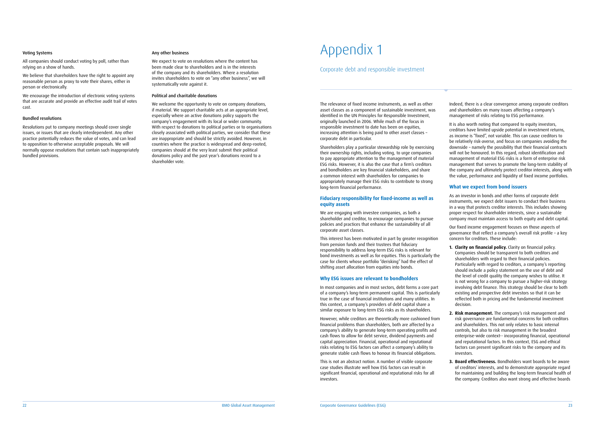#### Voting Systems

All companies should conduct voting by poll, rather than relying on a show of hands.

We believe that shareholders have the right to appoint any reasonable person as proxy to vote their shares, either in person or electronically.

We encourage the introduction of electronic voting systems that are accurate and provide an effective audit trail of votes cast.

#### Bundled resolutions

Resolutions put to company meetings should cover single issues, or issues that are clearly interdependent. Any other practice potentially reduces the value of votes, and can lead to opposition to otherwise acceptable proposals. We will normally oppose resolutions that contain such inappropriately bundled provisions.

#### Any other business

We expect to vote on resolutions where the content has been made clear to shareholders and is in the interests of the company and its shareholders. Where a resolution invites shareholders to vote on "any other business", we will systematically vote against it.

#### Political and charitable donations

We welcome the opportunity to vote on company donations, if material. We support charitable acts at an appropriate level, especially where an active donations policy supports the company's engagement with its local or wider community. With respect to donations to political parties or to organisations closely associated with political parties, we consider that these are inappropriate and should be strictly avoided. However, in countries where the practice is widespread and deep-rooted, companies should at the very least submit their political donations policy and the past year's donations record to a shareholder vote.

The relevance of fixed income instruments, as well as other asset classes as a component of sustainable investment, was identified in the UN Principles for Responsible Investment, originally launched in 2006. While much of the focus in responsible investment to date has been on equities, increasing attention is being paid to other asset classes – corporate debt in particular.

Shareholders play a particular stewardship role by exercising their ownership rights, including voting, to urge companies to pay appropriate attention to the management of material ESG risks. However, it is also the case that a firm's creditors and bondholders are key financial stakeholders, and share a common interest with shareholders for companies to appropriately manage their ESG risks to contribute to strong long-term financial performance.

#### **Fiduciary responsibility for fixed-income as well as equity assets**

We are engaging with investee companies, as both a shareholder and creditor, to encourage companies to pursue policies and practices that enhance the sustainability of all corporate asset classes.

This interest has been motivated in part by greater recognition from pension funds and their trustees that fiduciary responsibility to address long-term ESG risks is relevant for bond investments as well as for equities. This is particularly the case for clients whose portfolio "derisking" had the effect of shifting asset allocation from equities into bonds.

#### **Why ESG issues are relevant to bondholders**

In most companies and in most sectors, debt forms a core part of a company's long-term permanent capital. This is particularly true in the case of financial institutions and many utilities. In this context, a company's providers of debt capital share a similar exposure to long-term ESG risks as its shareholders.

However, while creditors are theoretically more cushioned from financial problems than shareholders, both are affected by a company's ability to generate long-term operating profits and cash flows to allow for debt service, dividend payments and capital appreciation. Financial, operational and reputational risks relating to ESG factors can affect a company's ability to generate stable cash flows to honour its financial obligations.

This is not an abstract notion. A number of visible corporate case studies illustrate well how ESG factors can result in significant financial, operational and reputational risks for all investors.

Indeed, there is a clear convergence among corporate creditors and shareholders on many issues affecting a company's management of risks relating to ESG performance.

It is also worth noting that compared to equity investors, creditors have limited upside potential in investment returns, as income is "fixed", not variable. This can cause creditors to be relatively risk-averse, and focus on companies avoiding the downside – namely the possibility that their financial contracts will not be honoured. In this regard, robust identification and management of material ESG risks is a form of enterprise risk management that serves to promote the long-term stability of the company and ultimately protect creditor interests, along with the value, performance and liquidity of fixed income portfolios.

#### **What we expect from bond issuers**

As an investor in bonds and other forms of corporate debt instruments, we expect debt issuers to conduct their business in a way that protects creditor interests. This includes showing proper respect for shareholder interests, since a sustainable company must maintain access to both equity and debt capital.

Our fixed income engagement focuses on those aspects of governance that reflect a company's overall risk profile – a key concern for creditors. These include:

- **1. Clarity on financial policy.** Clarity on financial policy. Companies should be transparent to both creditors and shareholders with regard to their financial policies. Particularly with regard to creditors, a company's reporting should include a policy statement on the use of debt and the level of credit quality the company wishes to utilise. It is not wrong for a company to pursue a higher-risk strategy involving debt finance. This strategy should be clear to both existing and prospective debt investors so that it can be reflected both in pricing and the fundamental investment decision.
- **2. Risk management.** The company's risk management and risk governance are fundamental concerns for both creditors and shareholders. This not only relates to basic internal controls, but also to risk management in the broadest enterprise-wide context-- incorporating financial, operational and reputational factors. In this context, ESG and ethical factors can present significant risks to the company and its investors.
- **3. Board effectiveness.** Bondholders want boards to be aware of creditors' interests, and to demonstrate appropriate regard for maintaining and building the long-term financial health of the company. Creditors also want strong and effective boards

## Appendix 1

### Corporate debt and responsible investment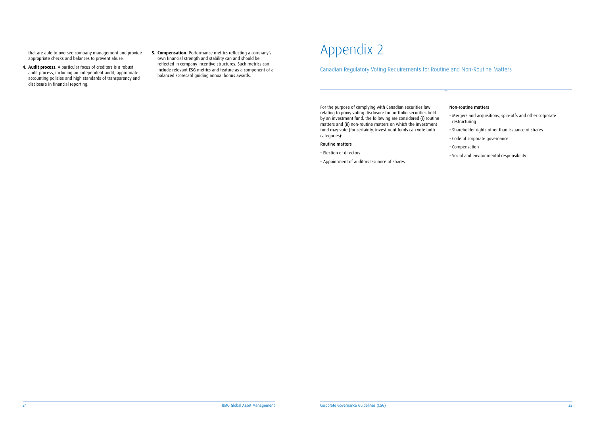that are able to oversee company management and provide appropriate checks and balances to prevent abuse.

- **4. Audit process.** A particular focus of creditors is a robust audit process, including an independent audit, appropriate accounting policies and high standards of transparency and disclosure in financial reporting.
- **5. Compensation.** Performance metrics reflecting a company's own financial strength and stability can and should be reflected in company incentive structures. Such metrics can include relevant ESG metrics and feature as a component of a balanced scorecard guiding annual bonus awards.

# Appendix 2

### Canadian Regulatory Voting Requirements for Routine and Non-Routine Matters

For the purpose of complying with Canadian securities law relating to proxy voting disclosure for portfolio securities held by an investment fund, the following are considered (i) routine matters and (ii) non-routine matters on which the investment fund may vote (for certainty, investment funds can vote both categories):

#### Routine matters

- Election of directors
- Appointment of auditors Issuance of shares

#### Non-routine matters

- Mergers and acquisitions, spin-offs and other corporate restructuring
- Shareholder rights other than issuance of shares
- Code of corporate governance
- Compensation
- Social and environmental responsibility